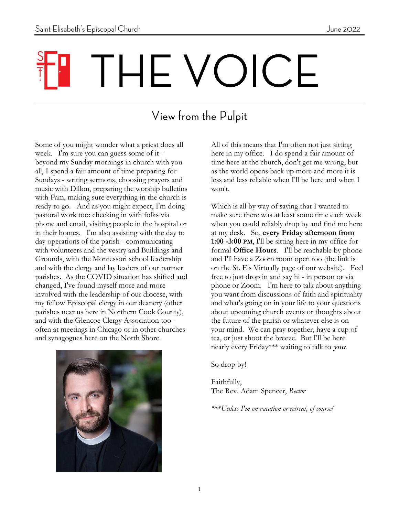# THE VOICE

## View from the Pulpit

Some of you might wonder what a priest does all week. I'm sure you can guess some of it beyond my Sunday mornings in church with you all, I spend a fair amount of time preparing for Sundays - writing sermons, choosing prayers and music with Dillon, preparing the worship bulletins with Pam, making sure everything in the church is ready to go. And as you might expect, I'm doing pastoral work too: checking in with folks via phone and email, visiting people in the hospital or in their homes. I'm also assisting with the day to day operations of the parish - communicating with volunteers and the vestry and Buildings and Grounds, with the Montessori school leadership and with the clergy and lay leaders of our partner parishes. As the COVID situation has shifted and changed, I've found myself more and more involved with the leadership of our diocese, with my fellow Episcopal clergy in our deanery (other parishes near us here in Northern Cook County), and with the Glencoe Clergy Association too often at meetings in Chicago or in other churches and synagogues here on the North Shore.



All of this means that I'm often not just sitting here in my office. I do spend a fair amount of time here at the church, don't get me wrong, but as the world opens back up more and more it is less and less reliable when I'll be here and when I won't.

Which is all by way of saying that I wanted to make sure there was at least some time each week when you could reliably drop by and find me here at my desk. So, **every Friday afternoon from 1:00 -3:00 PM**, I'll be sitting here in my office for formal **Office Hours**. I'll be reachable by phone and I'll have a Zoom room open too (the link is on the St. E's Virtually page of our website). Feel free to just drop in and say hi - in person or via phone or Zoom. I'm here to talk about anything you want from discussions of faith and spirituality and what's going on in your life to your questions about upcoming church events or thoughts about the future of the parish or whatever else is on your mind. We can pray together, have a cup of tea, or just shoot the breeze. But I'll be here nearly every Friday\*\*\* waiting to talk to **you**.

So drop by!

Faithfully, The Rev. Adam Spencer, *Rector*

*\*\*\*Unless I'm on vacation or retreat, of course!*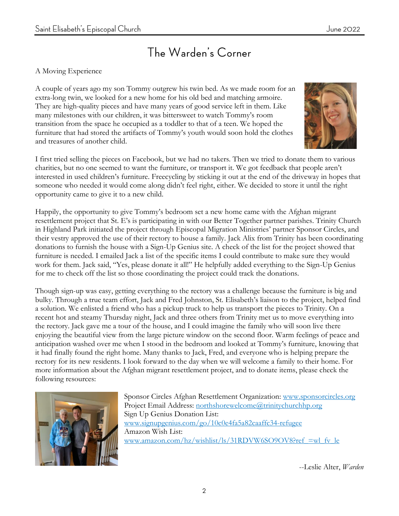#### The Warden's Corner

#### A Moving Experience

A couple of years ago my son Tommy outgrew his twin bed. As we made room for an extra-long twin, we looked for a new home for his old bed and matching armoire. They are high-quality pieces and have many years of good service left in them. Like many milestones with our children, it was bittersweet to watch Tommy's room transition from the space he occupied as a toddler to that of a teen. We hoped the furniture that had stored the artifacts of Tommy's youth would soon hold the clothes and treasures of another child.



I first tried selling the pieces on Facebook, but we had no takers. Then we tried to donate them to various charities, but no one seemed to want the furniture, or transport it. We got feedback that people aren't interested in used children's furniture. Freecycling by sticking it out at the end of the driveway in hopes that someone who needed it would come along didn't feel right, either. We decided to store it until the right opportunity came to give it to a new child.

Happily, the opportunity to give Tommy's bedroom set a new home came with the Afghan migrant resettlement project that St. E's is participating in with our Better Together partner parishes. Trinity Church in Highland Park initiated the project through Episcopal Migration Ministries' partner Sponsor Circles, and their vestry approved the use of their rectory to house a family. Jack Alix from Trinity has been coordinating donations to furnish the house with a Sign-Up Genius site. A check of the list for the project showed that furniture is needed. I emailed Jack a list of the specific items I could contribute to make sure they would work for them. Jack said, "Yes, please donate it all!" He helpfully added everything to the Sign-Up Genius for me to check off the list so those coordinating the project could track the donations.

Though sign-up was easy, getting everything to the rectory was a challenge because the furniture is big and bulky. Through a true team effort, Jack and Fred Johnston, St. Elisabeth's liaison to the project, helped find a solution. We enlisted a friend who has a pickup truck to help us transport the pieces to Trinity. On a recent hot and steamy Thursday night, Jack and three others from Trinity met us to move everything into the rectory. Jack gave me a tour of the house, and I could imagine the family who will soon live there enjoying the beautiful view from the large picture window on the second floor. Warm feelings of peace and anticipation washed over me when I stood in the bedroom and looked at Tommy's furniture, knowing that it had finally found the right home. Many thanks to Jack, Fred, and everyone who is helping prepare the rectory for its new residents. I look forward to the day when we will welcome a family to their home. For more information about the Afghan migrant resettlement project, and to donate items, please check the following resources:



Sponsor Circles Afghan Resettlement Organization: [www.sponsorcircles.org](about:blank) Project Email Address: [northshorewelcome@trinitychurchhp.org](about:blank) Sign Up Genius Donation List: [www.signupgenius.com/go/10c0e4fa5a82caaffc34-refugee](about:blank) Amazon Wish List: www.amazon.com/hz/wishlist/ls/31RDVW6SO9OV8?ref =wl\_fv\_le

--Leslie Alter, *Warden*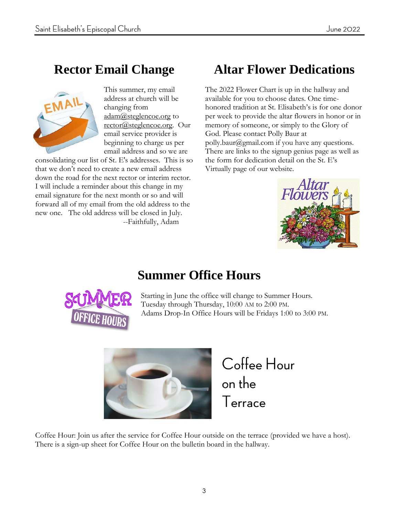#### **Rector Email Change**



This summer, my email address at church will be changing from adam@steglencoe.org to rector@steglencoe.org. Our email service provider is beginning to charge us per email address and so we are

consolidating our list of St. E's addresses. This is so that we don't need to create a new email address down the road for the next rector or interim rector. I will include a reminder about this change in my email signature for the next month or so and will forward all of my email from the old address to the new one. The old address will be closed in July. --Faithfully, Adam

## **Altar Flower Dedications**

The 2022 Flower Chart is up in the hallway and available for you to choose dates. One timehonored tradition at St. Elisabeth's is for one donor per week to provide the altar flowers in honor or in memory of someone, or simply to the Glory of God. Please contact Polly Baur at polly.baur@gmail.com if you have any questions. There are links to the signup genius page as well as the form for dedication detail on the St. E's Virtually page of our website.



#### **Summer Office Hours**



Starting in June the office will change to Summer Hours. Tuesday through Thursday, 10:00 AM to 2:00 PM. Adams Drop-In Office Hours will be Fridays 1:00 to 3:00 PM.



Coffee Hour on the Terrace

Coffee Hour: Join us after the service for Coffee Hour outside on the terrace (provided we have a host). There is a sign-up sheet for Coffee Hour on the bulletin board in the hallway.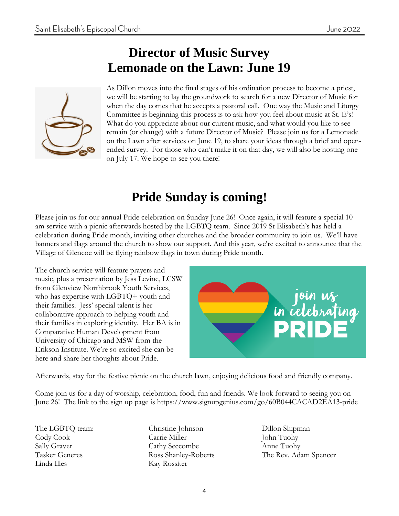#### **Director of Music Survey Lemonade on the Lawn: June 19**



As Dillon moves into the final stages of his ordination process to become a priest, we will be starting to lay the groundwork to search for a new Director of Music for when the day comes that he accepts a pastoral call. One way the Music and Liturgy Committee is beginning this process is to ask how you feel about music at St. E's! What do you appreciate about our current music, and what would you like to see remain (or change) with a future Director of Music? Please join us for a Lemonade on the Lawn after services on June 19, to share your ideas through a brief and openended survey. For those who can't make it on that day, we will also be hosting one on July 17. We hope to see you there!

#### **Pride Sunday is coming!**

Please join us for our annual Pride celebration on Sunday June 26! Once again, it will feature a special 10 am service with a picnic afterwards hosted by the LGBTQ team. Since 2019 St Elisabeth's has held a celebration during Pride month, inviting other churches and the broader community to join us. We'll have banners and flags around the church to show our support. And this year, we're excited to announce that the Village of Glencoe will be flying rainbow flags in town during Pride month.

The church service will feature prayers and music, plus a presentation by Jess Levine, LCSW from Glenview Northbrook Youth Services, who has expertise with LGBTQ+ youth and their families. Jess' special talent is her collaborative approach to helping youth and their families in exploring identity. Her BA is in Comparative Human Development from University of Chicago and MSW from the Erikson Institute. We're so excited she can be here and share her thoughts about Pride.



Afterwards, stay for the festive picnic on the church lawn, enjoying delicious food and friendly company.

Come join us for a day of worship, celebration, food, fun and friends. We look forward to seeing you on June 26! The link to the sign up page is https://www.signupgenius.com/go/60B044CACAD2EA13-pride

The LGBTQ team: Cody Cook Sally Graver Tasker Generes Linda Illes

Christine Johnson Carrie Miller Cathy Seccombe Ross Shanley-Roberts Kay Rossiter

Dillon Shipman John Tuohy Anne Tuohy The Rev. Adam Spencer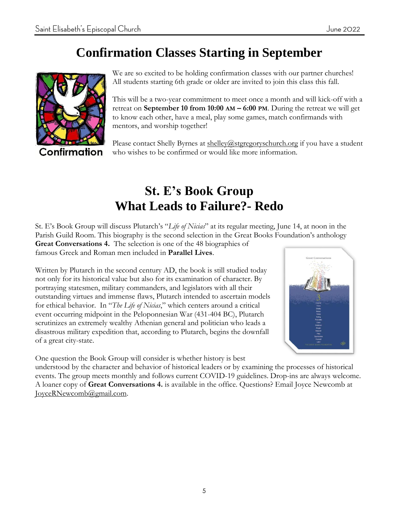#### **Confirmation Classes Starting in September**



Confirmation

We are so excited to be holding confirmation classes with our partner churches! All students starting 6th grade or older are invited to join this class this fall.

This will be a two-year commitment to meet once a month and will kick-off with a retreat on **September 10 from 10:00 AM – 6:00 PM**. During the retreat we will get to know each other, have a meal, play some games, match confirmands with mentors, and worship together!

Please contact Shelly Byrnes at  $shellev@stgregoryschurch.org$  if you have a student who wishes to be confirmed or would like more information.

#### **St. E's Book Group What Leads to Failure?- Redo**

St. E's Book Group will discuss Plutarch's "*Life of Nicias*" at its regular meeting, June 14, at noon in the Parish Guild Room. This biography is the second selection in the Great Books Foundation's anthology **Great Conversations 4.** The selection is one of the 48 biographies of famous Greek and Roman men included in **Parallel Lives**.

Written by Plutarch in the second century AD, the book is still studied today not only for its historical value but also for its examination of character. By portraying statesmen, military commanders, and legislators with all their outstanding virtues and immense flaws, Plutarch intended to ascertain models for ethical behavior. In "*The Life of Nicias*," which centers around a critical event occurring midpoint in the Peloponnesian War (431-404 BC), Plutarch scrutinizes an extremely wealthy Athenian general and politician who leads a disastrous military expedition that, according to Plutarch, begins the downfall of a great city-state.



One question the Book Group will consider is whether history is best

understood by the character and behavior of historical leaders or by examining the processes of historical events. The group meets monthly and follows current COVID-19 guidelines. Drop-ins are always welcome. A loaner copy of **Great Conversations 4.** is available in the office. Questions? Email Joyce Newcomb at JoyceRNewcomb@gmail.com.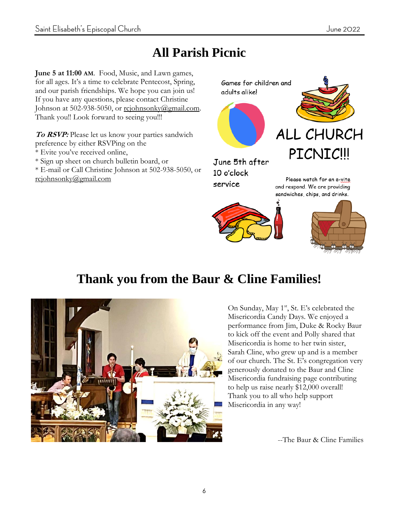## **All Parish Picnic**

**June 5 at 11:00 AM**. Food, Music, and Lawn games, for all ages. It's a time to celebrate Pentecost, Spring, and our parish friendships. We hope you can join us! If you have any questions, please contact Christine Johnson at 502-938-5050, or rcjohnsonky@gmail.com. Thank you!! Look forward to seeing you!!!

**To RSVP:** Please let us know your parties sandwich preference by either RSVPing on the

- \* Evite you've received online,
- \* Sign up sheet on church bulletin board, or

\* E-mail or Call Christine Johnson at 502-938-5050, or rcjohnsonky@gmail.com



Please watch for an e-vite and respond. We are providing sandwiches, chips, and drinks.



service



## **Thank you from the Baur & Cline Families!**



On Sunday, May 1<sup>st</sup>, St. E's celebrated the Misericordia Candy Days. We enjoyed a performance from Jim, Duke & Rocky Baur to kick off the event and Polly shared that Misericordia is home to her twin sister, Sarah Cline, who grew up and is a member of our church. The St. E's congregation very generously donated to the Baur and Cline Misericordia fundraising page contributing to help us raise nearly \$12,000 overall! Thank you to all who help support Misericordia in any way!

--The Baur & Cline Families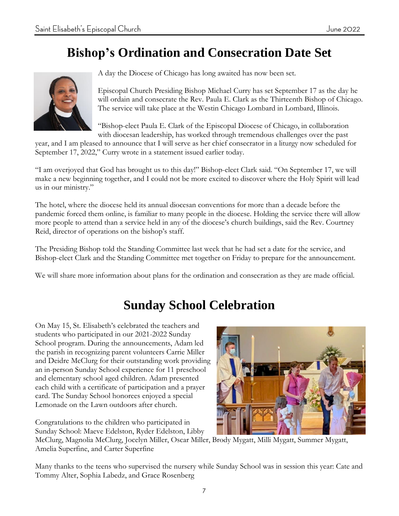## **Bishop's Ordination and Consecration Date Set**



A day the Diocese of Chicago has long awaited has now been set.

Episcopal Church Presiding Bishop Michael Curry has set September 17 as the day he will ordain and consecrate the Rev. Paula E. Clark as the Thirteenth Bishop of Chicago. The service will take place at the Westin Chicago Lombard in Lombard, Illinois.

"Bishop-elect Paula E. Clark of the Episcopal Diocese of Chicago, in collaboration with diocesan leadership, has worked through tremendous challenges over the past

year, and I am pleased to announce that I will serve as her chief consecrator in a liturgy now scheduled for September 17, 2022," Curry wrote in a statement issued earlier today.

"I am overjoyed that God has brought us to this day!" Bishop-elect Clark said. "On September 17, we will make a new beginning together, and I could not be more excited to discover where the Holy Spirit will lead us in our ministry."

The hotel, where the diocese held its annual diocesan conventions for more than a decade before the pandemic forced them online, is familiar to many people in the diocese. Holding the service there will allow more people to attend than a service held in any of the diocese's church buildings, said the Rev. Courtney Reid, director of operations on the bishop's staff.

The Presiding Bishop told the Standing Committee last week that he had set a date for the service, and Bishop-elect Clark and the Standing Committee met together on Friday to prepare for the announcement.

We will share more information about plans for the ordination and consecration as they are made official.

#### **Sunday School Celebration**

On May 15, St. Elisabeth's celebrated the teachers and students who participated in our 2021-2022 Sunday School program. During the announcements, Adam led the parish in recognizing parent volunteers Carrie Miller and Deidre McClurg for their outstanding work providing an in-person Sunday School experience for 11 preschool and elementary school aged children. Adam presented each child with a certificate of participation and a prayer card. The Sunday School honorees enjoyed a special Lemonade on the Lawn outdoors after church.

Congratulations to the children who participated in Sunday School: Maeve Edelston, Ryder Edelston, Libby

McClurg, Magnolia McClurg, Jocelyn Miller, Oscar Miller, Brody Mygatt, Milli Mygatt, Summer Mygatt, Amelia Superfine, and Carter Superfine

Many thanks to the teens who supervised the nursery while Sunday School was in session this year: Cate and Tommy Alter, Sophia Labedz, and Grace Rosenberg